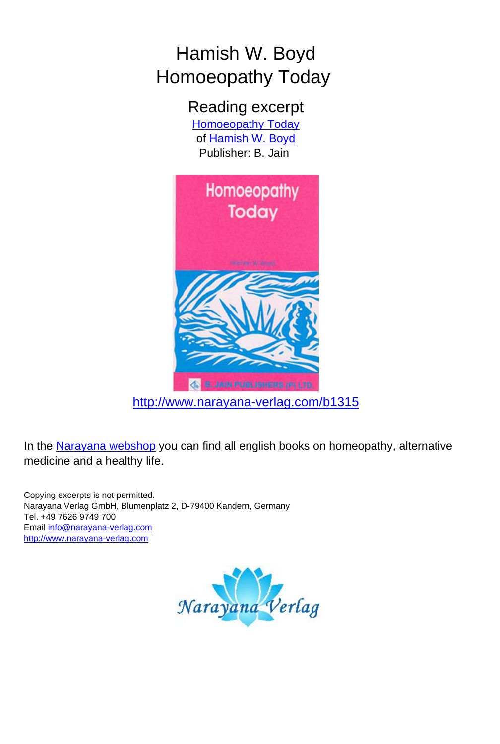## Hamish W. Boyd Homoeopathy Today

Reading excerpt [Homoeopathy Today](http://www.narayana-verlag.com/Homoeopathy-Today-Hamish-W-Boyd/b1315/partner/leseprobe) of [Hamish W. Boyd](http://www.narayana-verlag.com/Hamish-W-Boyd/a88/partner/leseprobe) Publisher: B. Jain



[http://www.narayana-verlag.com/b1315](http://www.narayana-verlag.com/Homoeopathy-Today-Hamish-W-Boyd/b1315/partner/leseprobe)

In the [Narayana webshop](http://www.narayana-verlag.com/partner/leseprobe) you can find all english books on homeopathy, alternative medicine and a healthy life.

Copying excerpts is not permitted. Narayana Verlag GmbH, Blumenplatz 2, D-79400 Kandern, Germany Tel. +49 7626 9749 700 Email [info@narayana-verlag.com](mailto:info@narayana-verlag.com) [http://www.narayana-verlag.com](http://www.narayana-verlag.com/partner/leseprobe)

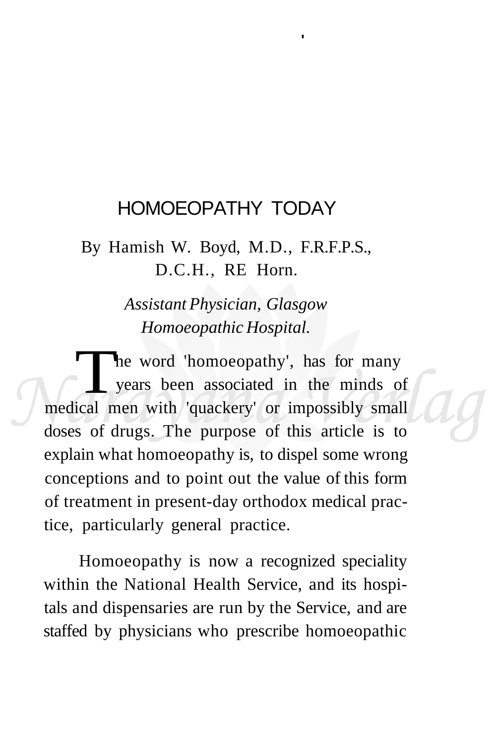## HOMOEOPATHY TODAY

**'** 

By Hamish W. Boyd, M.D., F.R.F.P.S., D.C.H., RE Horn.

> *Assistant Physician, Glasgow Homoeopathic Hospital.*

The word 'homoeopathy', has for many<br>years been associated in the minds of<br>medical men with 'quackery' or impossibly small he word 'homoeopathy', has for many years been associated in the minds of doses of drugs. The purpose of this article is to explain what homoeopathy is, to dispel some wrong conceptions and to point out the value of this form of treatment in present-day orthodox medical practice, particularly general practice.

Homoeopathy is now a recognized speciality within the National Health Service, and its hospitals and dispensaries are run by the Service, and are staffed by physicians who prescribe homoeopathic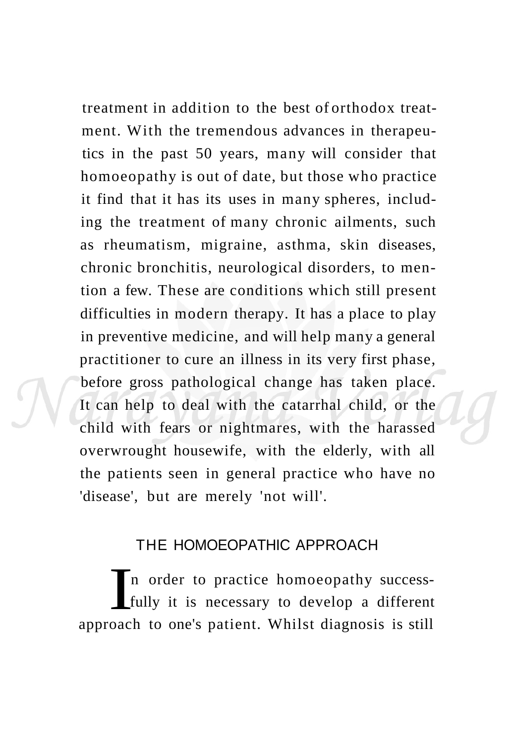treatment in addition to the best of orthodox treatment. With the tremendous advances in therapeutics in the past 50 years, many will consider that homoeopathy is out of date, but those who practice it find that it has its uses in many spheres, including the treatment of many chronic ailments, such as rheumatism, migraine, asthma, skin diseases, chronic bronchitis, neurological disorders, to mention a few. These are conditions which still present difficulties in modern therapy. It has a place to play in preventive medicine, and will help many a general practitioner to cure an illness in its very first phase, before gross pathological change has taken place. It can help to deal with the catarrhal child, or the child with fears or nightmares, with the harassed overwrought housewife, with the elderly, with all the patients seen in general practice who have no 'disease', but are merely 'not will'.

## THE HOMOEOPATHIC APPROACH

In order to practice homoeopathy success-<br>fully it is necessary to develop a different<br>approach to one's patient. Whilst diagnosis is still n order to practice homoeopathy successfully it is necessary to develop a different